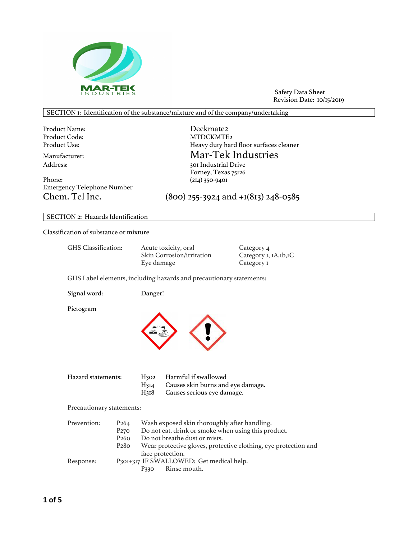

Safety Data Sheet Revision Date: 10/15/2019

# SECTION 1: Identification of the substance/mixture and of the company/undertaking

Product Name: Deckmate2 Product Code: MTDCKMTE2<br>Product Use: MTDCKMTE2<br>Heavy duty hard

Phone: (214) 350-9401 Emergency Telephone Number

Heavy duty hard floor surfaces cleaner Mar-Tek Industries<br>Address: 301 Industrial Drive 301 Industrial Drive Forney, Texas 75126

Chem. Tel Inc. (800) 255-3924 and +1(813) 248-0585

# SECTION 2: Hazards Identification

Classification of substance or mixture

| GHS Classification:       |                                                                              | Eye damage                                   | Acute toxicity, oral<br>Skin Corrosion/irritation                                                                                                        | Category 4<br>Category I, IA, Ib, IC<br>Category I              |
|---------------------------|------------------------------------------------------------------------------|----------------------------------------------|----------------------------------------------------------------------------------------------------------------------------------------------------------|-----------------------------------------------------------------|
|                           |                                                                              |                                              | GHS Label elements, including hazards and precautionary statements:                                                                                      |                                                                 |
| Signal word:              |                                                                              | Danger!                                      |                                                                                                                                                          |                                                                 |
| Pictogram                 |                                                                              |                                              |                                                                                                                                                          |                                                                 |
| Hazard statements:        |                                                                              | H <sub>302</sub><br>H314<br>H <sub>318</sub> | Harmful if swallowed<br>Causes skin burns and eye damage.<br>Causes serious eye damage.                                                                  |                                                                 |
| Precautionary statements: |                                                                              |                                              |                                                                                                                                                          |                                                                 |
| Prevention:               | P <sub>264</sub><br>P <sub>270</sub><br>P <sub>260</sub><br>P <sub>280</sub> |                                              | Wash exposed skin thoroughly after handling.<br>Do not eat, drink or smoke when using this product.<br>Do not breathe dust or mists.<br>face protection. | Wear protective gloves, protective clothing, eye protection and |
| Response:                 |                                                                              |                                              | P301+317 IF SWALLOWED: Get medical help.                                                                                                                 |                                                                 |

P330 Rinse mouth.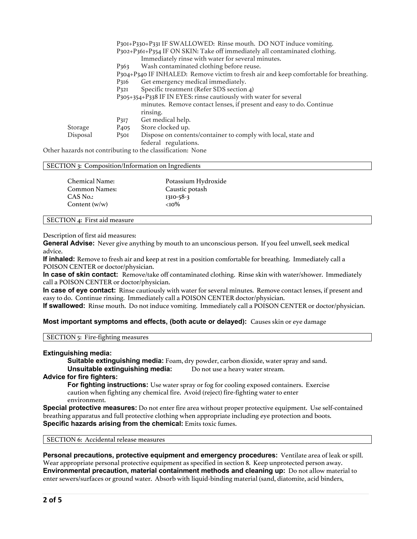|          |                  | P301+P330+P331 IF SWALLOWED: Rinse mouth. DO NOT induce vomiting.                    |
|----------|------------------|--------------------------------------------------------------------------------------|
|          |                  | P302+P36I+P354 IF ON SKIN: Take off immediately all contaminated clothing.           |
|          |                  | Immediately rinse with water for several minutes.                                    |
|          | P <sub>363</sub> | Wash contaminated clothing before reuse.                                             |
|          |                  | P304+P340 IF INHALED: Remove victim to fresh air and keep comfortable for breathing. |
|          | P <sub>316</sub> | Get emergency medical immediately.                                                   |
|          | P <sub>32I</sub> | Specific treatment (Refer SDS section 4)                                             |
|          |                  | P305+354+P338 IF IN EYES: rinse cautiously with water for several                    |
|          |                  | minutes. Remove contact lenses, if present and easy to do. Continue                  |
|          |                  | rinsing.                                                                             |
|          | P <sub>3I7</sub> | Get medical help.                                                                    |
| Storage  | P <sub>405</sub> | Store clocked up.                                                                    |
| Disposal | P <sub>50I</sub> | Dispose on contents/container to comply with local, state and                        |
|          |                  | federal regulations.                                                                 |

Other hazards not contributing to the classification: None

#### SECTION 3: Composition/Information on Ingredients

| Chemical Name:  | Potassium Hydroxide |
|-----------------|---------------------|
| Common Names:   | Caustic potash      |
| CAS No.:        | $1310 - 58 - 3$     |
| Content $(w/w)$ | $<10\%$             |

#### SECTION 4: First aid measure

Description of first aid measures:

**General Advise:** Never give anything by mouth to an unconscious person. If you feel unwell, seek medical advice.

**If inhaled:** Remove to fresh air and keep at rest in a position comfortable for breathing. Immediately call a POISON CENTER or doctor/physician.

**In case of skin contact:** Remove/take off contaminated clothing. Rinse skin with water/shower. Immediately call a POISON CENTER or doctor/physician.

**In case of eye contact:** Rinse cautiously with water for several minutes. Remove contact lenses, if present and easy to do. Continue rinsing. Immediately call a POISON CENTER doctor/physician.

**If swallowed:** Rinse mouth. Do not induce vomiting. Immediately call a POISON CENTER or doctor/physician.

## **Most important symptoms and effects, (both acute or delayed):** Causes skin or eye damage

SECTION 5: Fire-fighting measures

### **Extinguishing media:**

**Suitable extinguishing media:** Foam, dry powder, carbon dioxide, water spray and sand. **Unsuitable extinguishing media:** Do not use a heavy water stream.

### **Advice for fire fighters:**

**For fighting instructions:** Use water spray or fog for cooling exposed containers. Exercise caution when fighting any chemical fire. Avoid (reject) fire-fighting water to enter environment.

**Special protective measures:** Do not enter fire area without proper protective equipment. Use self-contained breathing apparatus and full protective clothing when appropriate including eye protection and boots. **Specific hazards arising from the chemical:** Emits toxic fumes.

SECTION 6: Accidental release measures

**Personal precautions, protective equipment and emergency procedures:** Ventilate area of leak or spill. Wear appropriate personal protective equipment as specified in section 8. Keep unprotected person away. **Environmental precaution, material containment methods and cleaning up:** Do not allow material to enter sewers/surfaces or ground water. Absorb with liquid-binding material (sand, diatomite, acid binders,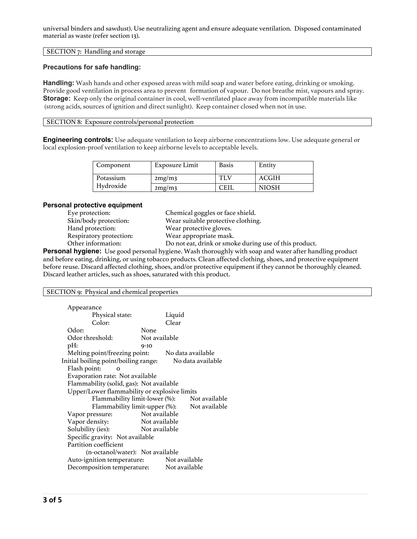# SECTION 7: Handling and storage

# **Precautions for safe handling:**

**Handling:** Wash hands and other exposed areas with mild soap and water before eating, drinking or smoking. Provide good ventilation in process area to prevent formation of vapour. Do not breathe mist, vapours and spray. **Storage:** Keep only the original container in cool, well-ventilated place away from incompatible materials like (strong acids, sources of ignition and direct sunlight). Keep container closed when not in use.

# SECTION 8: Exposure controls/personal protection

**Engineering controls:** Use adequate ventilation to keep airborne concentrations low. Use adequate general or local explosion-proof ventilation to keep airborne levels to acceptable levels.

| Component | Exposure Limit | <b>Basis</b> | Entity       |
|-----------|----------------|--------------|--------------|
| Potassium | 2mg/m3         |              | ACGIH        |
| Hydroxide | 2mg/m3         | 7EIL         | <b>NIOSH</b> |

## **Personal protective equipment**

| Eye protection:         |
|-------------------------|
| Skin/body protection:   |
| Hand protection:        |
| Respiratory protection: |
| Other information·      |

Chemical goggles or face shield. Wear suitable protective clothing. Wear protective gloves. Wear appropriate mask. Do not eat, drink or smoke during use of this product.

**Personal hygiene:** Use good personal hygiene. Wash thoroughly with soap and water after handling product and before eating, drinking, or using tobacco products. Clean affected clothing, shoes, and protective equipment before reuse. Discard affected clothing, shoes, and/or protective equipment if they cannot be thoroughly cleaned. Discard leather articles, such as shoes, saturated with this product.

# SECTION 9: Physical and chemical properties

| Appearance                                   |               |               |                   |
|----------------------------------------------|---------------|---------------|-------------------|
| Physical state:                              |               | Liquid        |                   |
| Color:                                       |               | Clear         |                   |
| Odor:                                        | None          |               |                   |
| Odor threshold:                              | Not available |               |                   |
| pH:                                          | $9-10$        |               |                   |
| Melting point/freezing point:                |               |               | No data available |
| Initial boiling point/boiling range:         |               |               | No data available |
| Flash point:                                 |               |               |                   |
| Evaporation rate: Not available              |               |               |                   |
| Flammability (solid, gas): Not available     |               |               |                   |
| Upper/Lower flammability or explosive limits |               |               |                   |
| Flammability limit-lower (%):                |               |               | Not available     |
| Flammability limit-upper (%):                |               |               | Not available     |
| Vapor pressure:                              | Not available |               |                   |
| Vapor density:                               | Not available |               |                   |
| Solubility (ies):                            | Not available |               |                   |
| Specific gravity: Not available              |               |               |                   |
| Partition coefficient                        |               |               |                   |
| (n-octanol/water): Not available             |               |               |                   |
| Auto-ignition temperature:                   |               | Not available |                   |
| Decomposition temperature:                   |               | Not available |                   |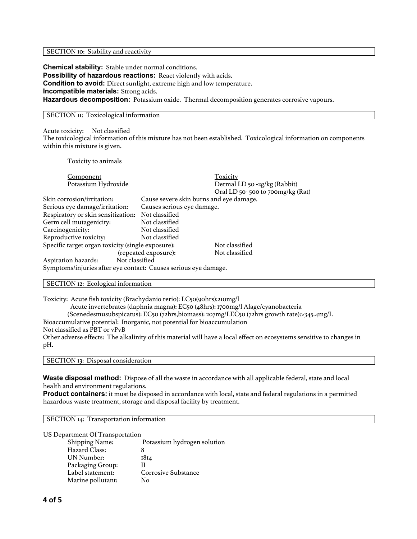#### SECTION 10: Stability and reactivity

**Chemical stability:** Stable under normal conditions. **Possibility of hazardous reactions:** React violently with acids. **Condition to avoid:** Direct sunlight, extreme high and low temperature. **Incompatible materials:** Strong acids. **Hazardous decomposition:** Potassium oxide. Thermal decomposition generates corrosive vapours.

### SECTION II: Toxicological information

Acute toxicity: Not classified

The toxicological information of this mixture has not been established. Toxicological information on components within this mixture is given.

Toxicity to animals

| Component                                                       |                            | Toxicity                                |
|-----------------------------------------------------------------|----------------------------|-----------------------------------------|
| Potassium Hydroxide                                             |                            | Dermal LD 50 -2g/kg (Rabbit)            |
|                                                                 |                            | Oral LD 50-500 to 700mg/kg (Rat)        |
| Skin corrosion/irritation:                                      |                            | Cause severe skin burns and eye damage. |
| Serious eye damage/irritation:                                  | Causes serious eye damage. |                                         |
| Respiratory or skin sensitization:                              | Not classified             |                                         |
| Germ cell mutagenicity:                                         | Not classified             |                                         |
| Carcinogenicity:                                                | Not classified             |                                         |
| Reproductive toxicity:                                          | Not classified             |                                         |
| Specific target organ toxicity (single exposure):               |                            | Not classified                          |
|                                                                 | (repeated exposure):       | Not classified                          |
| Not classified<br>Aspiration hazards:                           |                            |                                         |
| Symptoms/injuries after eye contact: Causes serious eye damage. |                            |                                         |

SECTION 12: Ecological information

Toxicity: Acute fish toxicity (Brachydanio rerio): LC50(90hrs):210mg/l Acute invertebrates (daphnia magna): EC50 (48hrs): 1700mg/l Alage/cyanobacteria

(Scenedesmusubspicatus): EC50 (72hrs,biomass): 207mg/LEC50 (72hrs growth rate):>345.4mg/L

Bioaccumulative potential: Inorganic, not potential for bioaccumulation

Not classified as PBT or vPvB

Other adverse effects: The alkalinity of this material will have a local effect on ecosystems sensitive to changes in pH.

SECTION 13: Disposal consideration

**Waste disposal method:** Dispose of all the waste in accordance with all applicable federal, state and local health and environment regulations.

**Product containers:** it must be disposed in accordance with local, state and federal regulations in a permitted hazardous waste treatment, storage and disposal facility by treatment.

SECTION 14: Transportation information

US Department Of Transportation

| Potassium hydrogen solution |
|-----------------------------|
|                             |
| 1814                        |
|                             |
| <b>Corrosive Substance</b>  |
| Nο                          |
|                             |